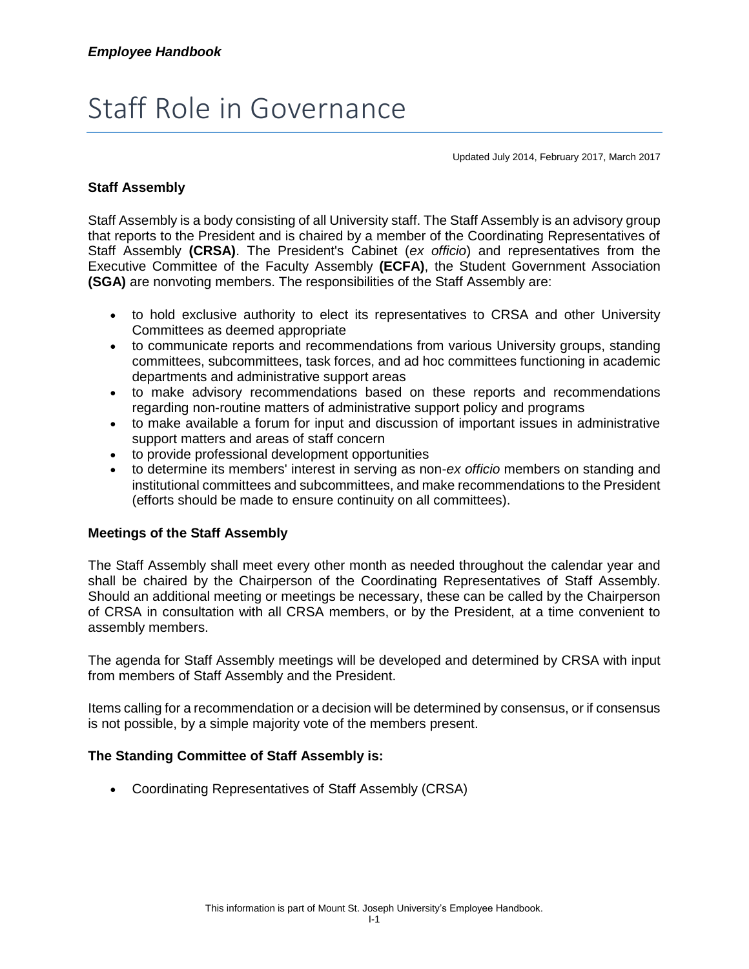# Staff Role in Governance

Updated July 2014, February 2017, March 2017

### **Staff Assembly**

Staff Assembly is a body consisting of all University staff. The Staff Assembly is an advisory group that reports to the President and is chaired by a member of the Coordinating Representatives of Staff Assembly **(CRSA)**. The President's Cabinet (*ex officio*) and representatives from the Executive Committee of the Faculty Assembly **(ECFA)**, the Student Government Association **(SGA)** are nonvoting members. The responsibilities of the Staff Assembly are:

- to hold exclusive authority to elect its representatives to CRSA and other University Committees as deemed appropriate
- to communicate reports and recommendations from various University groups, standing committees, subcommittees, task forces, and ad hoc committees functioning in academic departments and administrative support areas
- to make advisory recommendations based on these reports and recommendations regarding non-routine matters of administrative support policy and programs
- to make available a forum for input and discussion of important issues in administrative support matters and areas of staff concern
- to provide professional development opportunities
- to determine its members' interest in serving as non-*ex officio* members on standing and institutional committees and subcommittees, and make recommendations to the President (efforts should be made to ensure continuity on all committees).

#### **Meetings of the Staff Assembly**

The Staff Assembly shall meet every other month as needed throughout the calendar year and shall be chaired by the Chairperson of the Coordinating Representatives of Staff Assembly. Should an additional meeting or meetings be necessary, these can be called by the Chairperson of CRSA in consultation with all CRSA members, or by the President, at a time convenient to assembly members.

The agenda for Staff Assembly meetings will be developed and determined by CRSA with input from members of Staff Assembly and the President.

Items calling for a recommendation or a decision will be determined by consensus, or if consensus is not possible, by a simple majority vote of the members present.

#### **The Standing Committee of Staff Assembly is:**

Coordinating Representatives of Staff Assembly (CRSA)